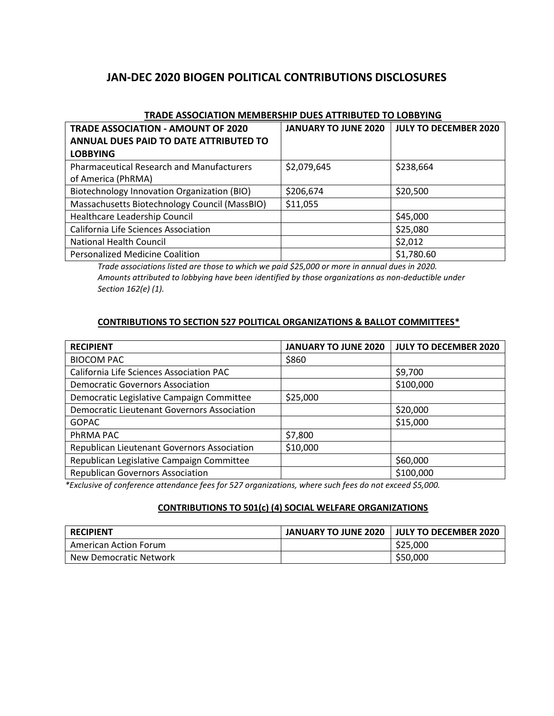# **JAN-DEC 2020 BIOGEN POLITICAL CONTRIBUTIONS DISCLOSURES**

| <b>TRADE ASSOCIATION - AMOUNT OF 2020</b>        | <b>JANUARY TO JUNE 2020</b> | <b>JULY TO DECEMBER 2020</b> |
|--------------------------------------------------|-----------------------------|------------------------------|
| ANNUAL DUES PAID TO DATE ATTRIBUTED TO           |                             |                              |
| <b>LOBBYING</b>                                  |                             |                              |
| <b>Pharmaceutical Research and Manufacturers</b> | \$2,079,645                 | \$238,664                    |
| of America (PhRMA)                               |                             |                              |
| Biotechnology Innovation Organization (BIO)      | \$206,674                   | \$20,500                     |
| Massachusetts Biotechnology Council (MassBIO)    | \$11,055                    |                              |
| Healthcare Leadership Council                    |                             | \$45,000                     |
| California Life Sciences Association             |                             | \$25,080                     |
| <b>National Health Council</b>                   |                             | \$2,012                      |
| <b>Personalized Medicine Coalition</b>           |                             | \$1,780.60                   |

#### **TRADE ASSOCIATION MEMBERSHIP DUES ATTRIBUTED TO LOBBYING**

*Trade associations listed are those to which we paid \$25,000 or more in annual dues in 2020. Amounts attributed to lobbying have been identified by those organizations as non-deductible under Section 162(e) (1).*

#### **CONTRIBUTIONS TO SECTION 527 POLITICAL ORGANIZATIONS & BALLOT COMMITTEES\***

| <b>RECIPIENT</b>                            | <b>JANUARY TO JUNE 2020</b> | <b>JULY TO DECEMBER 2020</b> |
|---------------------------------------------|-----------------------------|------------------------------|
| <b>BIOCOM PAC</b>                           | \$860                       |                              |
| California Life Sciences Association PAC    |                             | \$9,700                      |
| <b>Democratic Governors Association</b>     |                             | \$100,000                    |
| Democratic Legislative Campaign Committee   | \$25,000                    |                              |
| Democratic Lieutenant Governors Association |                             | \$20,000                     |
| <b>GOPAC</b>                                |                             | \$15,000                     |
| PhRMA PAC                                   | \$7,800                     |                              |
| Republican Lieutenant Governors Association | \$10,000                    |                              |
| Republican Legislative Campaign Committee   |                             | \$60,000                     |
| <b>Republican Governors Association</b>     |                             | \$100,000                    |

*\*Exclusive of conference attendance fees for 527 organizations, where such fees do not exceed \$5,000.*

## **CONTRIBUTIONS TO 501(c) (4) SOCIAL WELFARE ORGANIZATIONS**

| <b>RECIPIENT</b>       | JANUARY TO JUNE 2020   JULY TO DECEMBER 2020 |
|------------------------|----------------------------------------------|
| American Action Forum  | \$25,000                                     |
| New Democratic Network | \$50,000                                     |